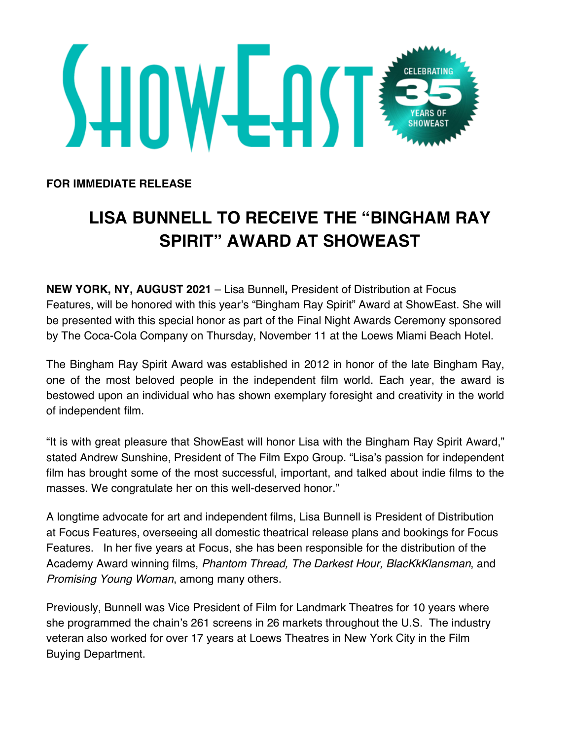

**FOR IMMEDIATE RELEASE**

## **LISA BUNNELL TO RECEIVE THE "BINGHAM RAY SPIRIT" AWARD AT SHOWEAST**

**NEW YORK, NY, AUGUST 2021** – Lisa Bunnell**,** President of Distribution at Focus Features, will be honored with this year's "Bingham Ray Spirit" Award at ShowEast. She will be presented with this special honor as part of the Final Night Awards Ceremony sponsored by The Coca-Cola Company on Thursday, November 11 at the Loews Miami Beach Hotel.

The Bingham Ray Spirit Award was established in 2012 in honor of the late Bingham Ray, one of the most beloved people in the independent film world. Each year, the award is bestowed upon an individual who has shown exemplary foresight and creativity in the world of independent film.

"It is with great pleasure that ShowEast will honor Lisa with the Bingham Ray Spirit Award," stated Andrew Sunshine, President of The Film Expo Group. "Lisa's passion for independent film has brought some of the most successful, important, and talked about indie films to the masses. We congratulate her on this well-deserved honor."

A longtime advocate for art and independent films, Lisa Bunnell is President of Distribution at Focus Features, overseeing all domestic theatrical release plans and bookings for Focus Features. In her five years at Focus, she has been responsible for the distribution of the Academy Award winning films, *Phantom Thread, The Darkest Hour, BlacKkKlansman*, and *Promising Young Woman*, among many others.

Previously, Bunnell was Vice President of Film for Landmark Theatres for 10 years where she programmed the chain's 261 screens in 26 markets throughout the U.S. The industry veteran also worked for over 17 years at Loews Theatres in New York City in the Film Buying Department.